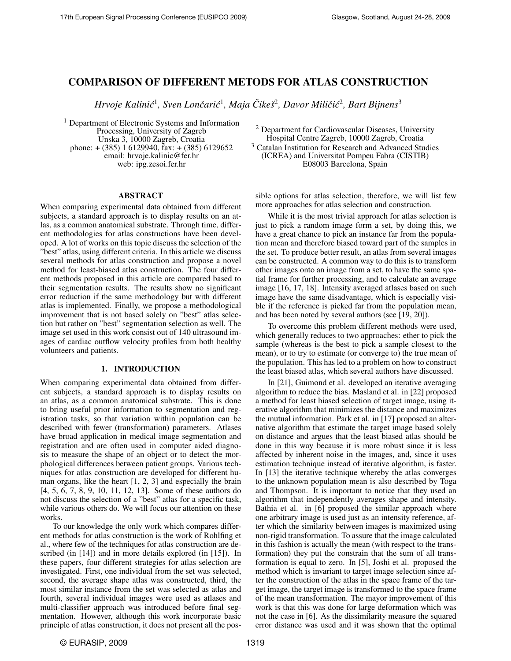# COMPARISON OF DIFFERENT METODS FOR ATLAS CONSTRUCTION

*Hrvoje Kalinic´* 1 *, Sven Loncari ˇ c´* 1 *, Maja Cike ˇ sˇ* 2 *, Davor Miliciˇ c´* 2 *, Bart Bijnens*<sup>3</sup>

<sup>1</sup> Department of Electronic Systems and Information Processing, University of Zagreb Unska 3, 10000 Zagreb, Croatia phone: + (385) 1 6129940, fax: + (385) 6129652 email: hrvoje.kalinic@fer.hr web: ipg.zesoi.fer.hr

### ABSTRACT

When comparing experimental data obtained from different subjects, a standard approach is to display results on an atlas, as a common anatomical substrate. Through time, different methodologies for atlas constructions have been developed. A lot of works on this topic discuss the selection of the "best" atlas, using different criteria. In this article we discuss several methods for atlas construction and propose a novel method for least-biased atlas construction. The four different methods proposed in this article are compared based to their segmentation results. The results show no significant error reduction if the same methodology but with different atlas is implemented. Finally, we propose a methodological improvement that is not based solely on "best" atlas selection but rather on "best" segmentation selection as well. The image set used in this work consist out of 140 ultrasound images of cardiac outflow velocity profiles from both healthy volunteers and patients.

### 1. INTRODUCTION

When comparing experimental data obtained from different subjects, a standard approach is to display results on an atlas, as a common anatomical substrate. This is done to bring useful prior information to segmentation and registration tasks, so that variation within population can be described with fewer (transformation) parameters. Atlases have broad application in medical image segmentation and registration and are often used in computer aided diagnosis to measure the shape of an object or to detect the morphological differences between patient groups. Various techniques for atlas construction are developed for different human organs, like the heart [1, 2, 3] and especially the brain [4, 5, 6, 7, 8, 9, 10, 11, 12, 13]. Some of these authors do not discuss the selection of a "best" atlas for a specific task, while various others do. We will focus our attention on these works.

To our knowledge the only work which compares different methods for atlas construction is the work of Rohlfing et al., where few of the techniques for atlas construction are described (in [14]) and in more details explored (in [15]). In these papers, four different strategies for atlas selection are investigated. First, one individual from the set was selected, second, the average shape atlas was constructed, third, the most similar instance from the set was selected as atlas and fourth, several individual images were used as atlases and multi-classifier approach was introduced before final segmentation. However, although this work incorporate basic principle of atlas construction, it does not present all the pos-

<sup>2</sup> Department for Cardiovascular Diseases, University Hospital Centre Zagreb, 10000 Zagreb, Croatia <sup>3</sup> Catalan Institution for Research and Advanced Studies (ICREA) and Universitat Pompeu Fabra (CISTIB) E08003 Barcelona, Spain

sible options for atlas selection, therefore, we will list few more approaches for atlas selection and construction.

While it is the most trivial approach for atlas selection is just to pick a random image form a set, by doing this, we have a great chance to pick an instance far from the population mean and therefore biased toward part of the samples in the set. To produce better result, an atlas from several images can be constructed. A common way to do this is to transform other images onto an image from a set, to have the same spatial frame for further processing, and to calculate an average image [16, 17, 18]. Intensity averaged atlases based on such image have the same disadvantage, which is especially visible if the reference is picked far from the population mean, and has been noted by several authors (see [19, 20]).

To overcome this problem different methods were used, which generally reduces to two approaches: ether to pick the sample (whereas is the best to pick a sample closest to the mean), or to try to estimate (or converge to) the true mean of the population. This has led to a problem on how to construct the least biased atlas, which several authors have discussed.

In [21], Guimond et al. developed an iterative averaging algorithm to reduce the bias. Masland et al. in [22] proposed a method for least biased selection of target image, using iterative algorithm that minimizes the distance and maximizes the mutual information. Park et al. in [17] proposed an alternative algorithm that estimate the target image based solely on distance and argues that the least biased atlas should be done in this way because it is more robust since it is less affected by inherent noise in the images, and, since it uses estimation technique instead of iterative algorithm, is faster. In [13] the iterative technique whereby the atlas converges to the unknown population mean is also described by Toga and Thompson. It is important to notice that they used an algorithm that independently averages shape and intensity. Bathia et al. in [6] proposed the similar approach where one arbitrary image is used just as an intensity reference, after which the similarity between images is maximized using non-rigid transformation. To assure that the image calculated in this fashion is actually the mean (with respect to the transformation) they put the constrain that the sum of all transformation is equal to zero. In [5], Joshi et al. proposed the method which is invariant to target image selection since after the construction of the atlas in the space frame of the target image, the target image is transformed to the space frame of the mean transformation. The mayor improvement of this work is that this was done for large deformation which was not the case in [6]. As the dissimilarity measure the squared error distance was used and it was shown that the optimal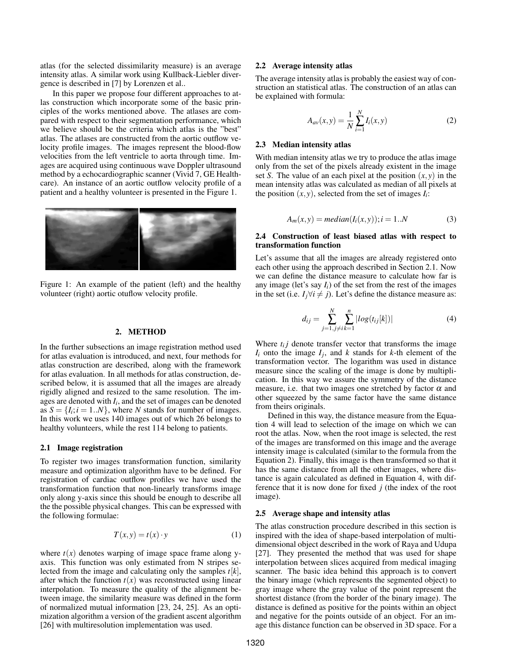atlas (for the selected dissimilarity measure) is an average intensity atlas. A similar work using Kullback-Liebler divergence is described in [7] by Lorenzen et al..

In this paper we propose four different approaches to atlas construction which incorporate some of the basic principles of the works mentioned above. The atlases are compared with respect to their segmentation performance, which we believe should be the criteria which atlas is the "best" atlas. The atlases are constructed from the aortic outflow velocity profile images. The images represent the blood-flow velocities from the left ventricle to aorta through time. Images are acquired using continuous wave Doppler ultrasound method by a echocardiographic scanner (Vivid 7, GE Healthcare). An instance of an aortic outflow velocity profile of a patient and a healthy volunteer is presented in the Figure 1.



Figure 1: An example of the patient (left) and the healthy volunteer (right) aortic otuflow velocity profile.

#### 2. METHOD

In the further subsections an image registration method used for atlas evaluation is introduced, and next, four methods for atlas construction are described, along with the framework for atlas evaluation. In all methods for atlas construction, described below, it is assumed that all the images are already rigidly aligned and resized to the same resolution. The images are denoted with *I<sup>i</sup>* , and the set of images can be denoted as  $S = \{I_i; i = 1..N\}$ , where *N* stands for number of images. In this work we uses 140 images out of which 26 belongs to healthy volunteers, while the rest 114 belong to patients.

### 2.1 Image registration

To register two images transformation function, similarity measure and optimization algorithm have to be defined. For registration of cardiac outflow profiles we have used the transformation function that non-linearly transforms image only along y-axis since this should be enough to describe all the the possible physical changes. This can be expressed with the following formulae:

$$
T(x, y) = t(x) \cdot y \tag{1}
$$

where  $t(x)$  denotes warping of image space frame along yaxis. This function was only estimated from N stripes selected from the image and calculating only the samples *t*[*k*], after which the function  $t(x)$  was reconstructed using linear interpolation. To measure the quality of the alignment between image, the similarity measure was defined in the form of normalized mutual information [23, 24, 25]. As an optimization algorithm a version of the gradient ascent algorithm [26] with multiresolution implementation was used.

#### 2.2 Average intensity atlas

The average intensity atlas is probably the easiest way of construction an statistical atlas. The construction of an atlas can be explained with formula:

$$
A_{av}(x, y) = \frac{1}{N} \sum_{i=1}^{N} I_i(x, y)
$$
 (2)

#### 2.3 Median intensity atlas

With median intensity atlas we try to produce the atlas image only from the set of the pixels already existent in the image set *S*. The value of an each pixel at the position  $(x, y)$  in the mean intensity atlas was calculated as median of all pixels at the position  $(x, y)$ , selected from the set of images  $I_i$ :

$$
A_m(x, y) = median(I_i(x, y)); i = 1..N
$$
\n(3)

### 2.4 Construction of least biased atlas with respect to transformation function

Let's assume that all the images are already registered onto each other using the approach described in Section 2.1. Now we can define the distance measure to calculate how far is any image (let's say  $I_i$ ) of the set from the rest of the images in the set (i.e.  $I_i \forall i \neq j$ ). Let's define the distance measure as:

$$
d_{ij} = \sum_{j=1, j \neq i}^{N} \sum_{k=1}^{n} |log(t_{ij}[k])|
$$
 (4)

Where  $t_{ij}$  denote transfer vector that transforms the image  $I_i$  onto the image  $I_j$ , and  $k$  stands for  $k$ -th element of the transformation vector. The logarithm was used in distance measure since the scaling of the image is done by multiplication. In this way we assure the symmetry of the distance measure, i.e. that two images one stretched by factor  $\alpha$  and other squeezed by the same factor have the same distance from theirs originals.

Defined in this way, the distance measure from the Equation 4 will lead to selection of the image on which we can root the atlas. Now, when the root image is selected, the rest of the images are transformed on this image and the average intensity image is calculated (similar to the formula from the Equation 2). Finally, this image is then transformed so that it has the same distance from all the other images, where distance is again calculated as defined in Equation 4, with difference that it is now done for fixed *j* (the index of the root image).

### 2.5 Average shape and intensity atlas

The atlas construction procedure described in this section is inspired with the idea of shape-based interpolation of multidimensional object described in the work of Raya and Udupa [27]. They presented the method that was used for shape interpolation between slices acquired from medical imaging scanner. The basic idea behind this approach is to convert the binary image (which represents the segmented object) to gray image where the gray value of the point represent the shortest distance (from the border of the binary image). The distance is defined as positive for the points within an object and negative for the points outside of an object. For an image this distance function can be observed in 3D space. For a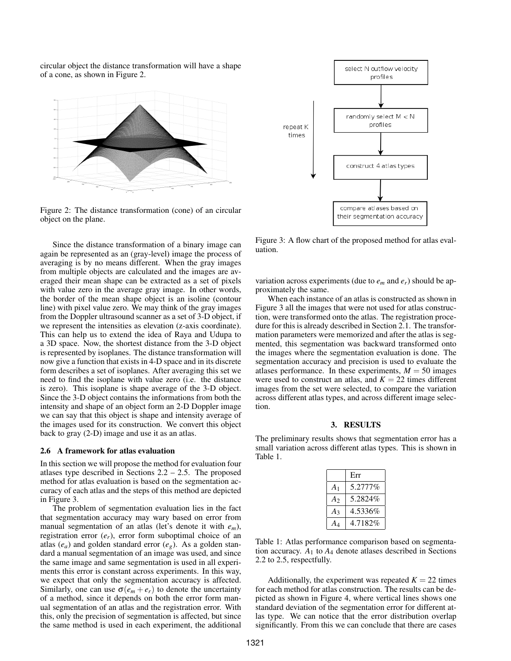circular object the distance transformation will have a shape of a cone, as shown in Figure 2.



Figure 2: The distance transformation (cone) of an circular object on the plane.

Since the distance transformation of a binary image can again be represented as an (gray-level) image the process of averaging is by no means different. When the gray images from multiple objects are calculated and the images are averaged their mean shape can be extracted as a set of pixels with value zero in the average gray image. In other words, the border of the mean shape object is an isoline (contour line) with pixel value zero. We may think of the gray images from the Doppler ultrasound scanner as a set of 3-D object, if we represent the intensities as elevation (z-axis coordinate). This can help us to extend the idea of Raya and Udupa to a 3D space. Now, the shortest distance from the 3-D object is represented by isoplanes. The distance transformation will now give a function that exists in 4-D space and in its discrete form describes a set of isoplanes. After averaging this set we need to find the isoplane with value zero (i.e. the distance is zero). This isoplane is shape average of the 3-D object. Since the 3-D object contains the informations from both the intensity and shape of an object form an 2-D Doppler image we can say that this object is shape and intensity average of the images used for its construction. We convert this object back to gray (2-D) image and use it as an atlas.

#### 2.6 A framework for atlas evaluation

In this section we will propose the method for evaluation four atlases type described in Sections  $2.2 - 2.5$ . The proposed method for atlas evaluation is based on the segmentation accuracy of each atlas and the steps of this method are depicted in Figure 3.

The problem of segmentation evaluation lies in the fact that segmentation accuracy may wary based on error from manual segmentation of an atlas (let's denote it with *em*), registration error (*er*), error form suboptimal choice of an atlas  $(e_a)$  and golden standard error  $(e_g)$ . As a golden standard a manual segmentation of an image was used, and since the same image and same segmentation is used in all experiments this error is constant across experiments. In this way, we expect that only the segmentation accuracy is affected. Similarly, one can use  $\sigma(e_m + e_r)$  to denote the uncertainty of a method, since it depends on both the error form manual segmentation of an atlas and the registration error. With this, only the precision of segmentation is affected, but since the same method is used in each experiment, the additional



Figure 3: A flow chart of the proposed method for atlas evaluation.

variation across experiments (due to  $e_m$  and  $e_r$ ) should be approximately the same.

When each instance of an atlas is constructed as shown in Figure 3 all the images that were not used for atlas construction, were transformed onto the atlas. The registration procedure for this is already described in Section 2.1. The transformation parameters were memorized and after the atlas is segmented, this segmentation was backward transformed onto the images where the segmentation evaluation is done. The segmentation accuracy and precision is used to evaluate the atlases performance. In these experiments,  $M = 50$  images were used to construct an atlas, and  $K = 22$  times different images from the set were selected, to compare the variation across different atlas types, and across different image selection.

#### 3. RESULTS

The preliminary results shows that segmentation error has a small variation across different atlas types. This is shown in Table 1.

|                | Err      |
|----------------|----------|
| A <sub>1</sub> | 5.2777%  |
| A <sub>2</sub> | 5.2824\% |
| $A_3$          | 4.5336%  |
|                | 4.7182%  |

Table 1: Atlas performance comparison based on segmentation accuracy. *A*<sup>1</sup> to *A*<sup>4</sup> denote atlases described in Sections 2.2 to 2.5, respectfully.

Additionally, the experiment was repeated  $K = 22$  times for each method for atlas construction. The results can be depicted as shown in Figure 4, where vertical lines shows one standard deviation of the segmentation error for different atlas type. We can notice that the error distribution overlap significantly. From this we can conclude that there are cases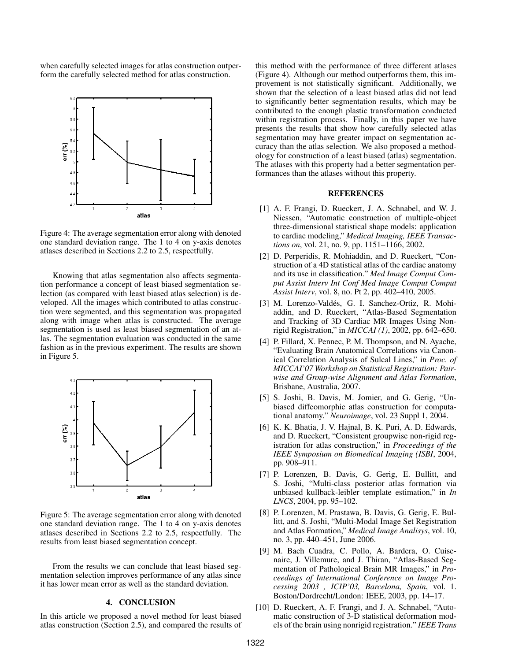when carefully selected images for atlas construction outperform the carefully selected method for atlas construction.



Figure 4: The average segmentation error along with denoted one standard deviation range. The 1 to 4 on y-axis denotes atlases described in Sections 2.2 to 2.5, respectfully.

Knowing that atlas segmentation also affects segmentation performance a concept of least biased segmentation selection (as compared with least biased atlas selection) is developed. All the images which contributed to atlas construction were segmented, and this segmentation was propagated along with image when atlas is constructed. The average segmentation is used as least biased segmentation of an atlas. The segmentation evaluation was conducted in the same fashion as in the previous experiment. The results are shown in Figure 5.



Figure 5: The average segmentation error along with denoted one standard deviation range. The 1 to 4 on y-axis denotes atlases described in Sections 2.2 to 2.5, respectfully. The results from least biased segmentation concept.

From the results we can conclude that least biased segmentation selection improves performance of any atlas since it has lower mean error as well as the standard deviation.

## 4. CONCLUSION

In this article we proposed a novel method for least biased atlas construction (Section 2.5), and compared the results of

this method with the performance of three different atlases (Figure 4). Although our method outperforms them, this improvement is not statistically significant. Additionally, we shown that the selection of a least biased atlas did not lead to significantly better segmentation results, which may be contributed to the enough plastic transformation conducted within registration process. Finally, in this paper we have presents the results that show how carefully selected atlas segmentation may have greater impact on segmentation accuracy than the atlas selection. We also proposed a methodology for construction of a least biased (atlas) segmentation. The atlases with this property had a better segmentation performances than the atlases without this property.

### REFERENCES

- [1] A. F. Frangi, D. Rueckert, J. A. Schnabel, and W. J. Niessen, "Automatic construction of multiple-object three-dimensional statistical shape models: application to cardiac modeling," *Medical Imaging, IEEE Transactions on*, vol. 21, no. 9, pp. 1151–1166, 2002.
- [2] D. Perperidis, R. Mohiaddin, and D. Rueckert, "Construction of a 4D statistical atlas of the cardiac anatomy and its use in classification." *Med Image Comput Comput Assist Interv Int Conf Med Image Comput Comput Assist Interv*, vol. 8, no. Pt 2, pp. 402–410, 2005.
- [3] M. Lorenzo-Valdés, G. I. Sanchez-Ortiz, R. Mohiaddin, and D. Rueckert, "Atlas-Based Segmentation and Tracking of 3D Cardiac MR Images Using Nonrigid Registration," in *MICCAI (1)*, 2002, pp. 642–650.
- [4] P. Fillard, X. Pennec, P. M. Thompson, and N. Ayache, "Evaluating Brain Anatomical Correlations via Canonical Correlation Analysis of Sulcal Lines," in *Proc. of MICCAI'07 Workshop on Statistical Registration: Pairwise and Group-wise Alignment and Atlas Formation*, Brisbane, Australia, 2007.
- [5] S. Joshi, B. Davis, M. Jomier, and G. Gerig, "Unbiased diffeomorphic atlas construction for computational anatomy." *Neuroimage*, vol. 23 Suppl 1, 2004.
- [6] K. K. Bhatia, J. V. Hajnal, B. K. Puri, A. D. Edwards, and D. Rueckert, "Consistent groupwise non-rigid registration for atlas construction," in *Proceedings of the IEEE Symposium on Biomedical Imaging (ISBI*, 2004, pp. 908–911.
- [7] P. Lorenzen, B. Davis, G. Gerig, E. Bullitt, and S. Joshi, "Multi-class posterior atlas formation via unbiased kullback-leibler template estimation," in *In LNCS*, 2004, pp. 95–102.
- [8] P. Lorenzen, M. Prastawa, B. Davis, G. Gerig, E. Bullitt, and S. Joshi, "Multi-Modal Image Set Registration and Atlas Formation," *Medical Image Analisys*, vol. 10, no. 3, pp. 440–451, June 2006.
- [9] M. Bach Cuadra, C. Pollo, A. Bardera, O. Cuisenaire, J. Villemure, and J. Thiran, "Atlas-Based Segmentation of Pathological Brain MR Images," in *Proceedings of International Conference on Image Processing 2003 , ICIP'03, Barcelona, Spain*, vol. 1. Boston/Dordrecht/London: IEEE, 2003, pp. 14–17.
- [10] D. Rueckert, A. F. Frangi, and J. A. Schnabel, "Automatic construction of 3-D statistical deformation models of the brain using nonrigid registration." *IEEE Trans*